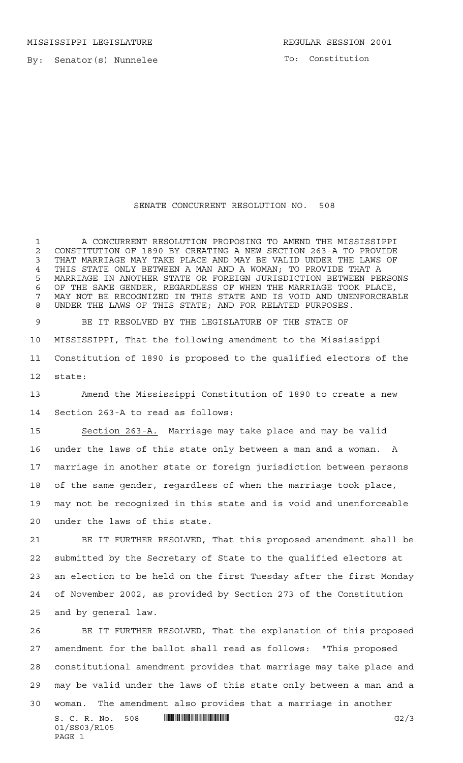MISSISSIPPI LEGISLATURE REGULAR SESSION 2001

By: Senator(s) Nunnelee

To: Constitution

## SENATE CONCURRENT RESOLUTION NO. 508

 A CONCURRENT RESOLUTION PROPOSING TO AMEND THE MISSISSIPPI 2 CONSTITUTION OF 1890 BY CREATING A NEW SECTION 263-A TO PROVIDE<br>3 THAT MARRIAGE MAY TAKE PLACE AND MAY BE VALID UNDER THE LAWS OF THAT MARRIAGE MAY TAKE PLACE AND MAY BE VALID UNDER THE LAWS OF 4 THIS STATE ONLY BETWEEN A MAN AND A WOMAN; TO PROVIDE THAT A<br>5 MARRIAGE IN ANOTHER STATE OR FOREIGN JURISDICTION BETWEEN PE MARRIAGE IN ANOTHER STATE OR FOREIGN JURISDICTION BETWEEN PERSONS OF THE SAME GENDER, REGARDLESS OF WHEN THE MARRIAGE TOOK PLACE, MAY NOT BE RECOGNIZED IN THIS STATE AND IS VOID AND UNENFORCEABLE UNDER THE LAWS OF THIS STATE; AND FOR RELATED PURPOSES.

 BE IT RESOLVED BY THE LEGISLATURE OF THE STATE OF MISSISSIPPI, That the following amendment to the Mississippi Constitution of 1890 is proposed to the qualified electors of the state:

 Amend the Mississippi Constitution of 1890 to create a new Section 263-A to read as follows:

 Section 263-A. Marriage may take place and may be valid under the laws of this state only between a man and a woman. A marriage in another state or foreign jurisdiction between persons of the same gender, regardless of when the marriage took place, may not be recognized in this state and is void and unenforceable under the laws of this state.

 BE IT FURTHER RESOLVED, That this proposed amendment shall be submitted by the Secretary of State to the qualified electors at an election to be held on the first Tuesday after the first Monday of November 2002, as provided by Section 273 of the Constitution and by general law.

S. C. R. No. 508 \*SS03/R105\* G2/3 01/SS03/R105 PAGE 1 BE IT FURTHER RESOLVED, That the explanation of this proposed amendment for the ballot shall read as follows: "This proposed constitutional amendment provides that marriage may take place and may be valid under the laws of this state only between a man and a woman. The amendment also provides that a marriage in another